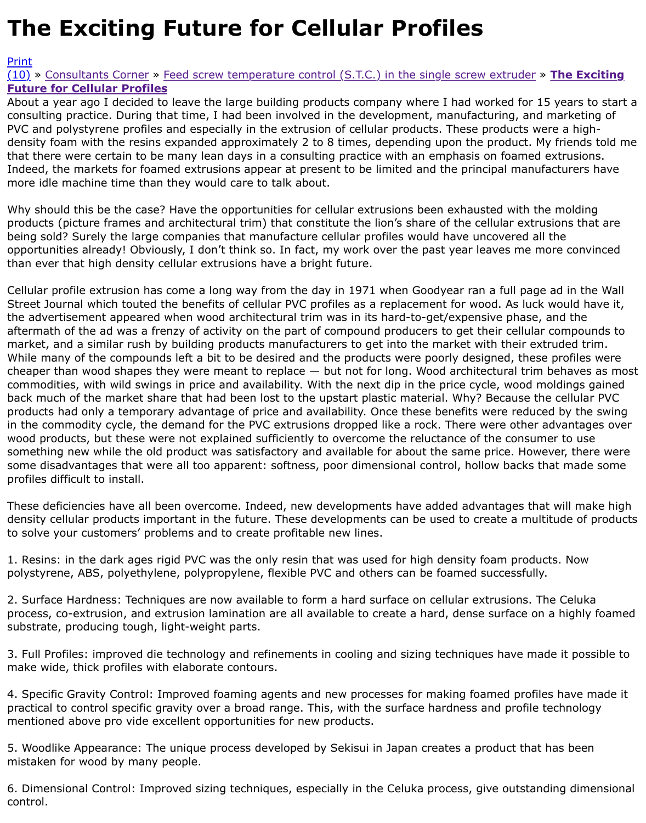consulting practice. During that time, I had been involved in the development, manufacturing, and  $\mathsf n$ PVC and polystyrene profiles and especially in the extrusion of cellular products. These products we density foam with the resins expanded approximately 2 to 8 times, depending upon the product. My that there were certain to be many lean days in a consulting practice with an emphasis on foamed  $\epsilon$ [Indee](http://extrusionwiki.com/wiki/Print.aspx?Page=CC%20V13-1-B)d, the markets for foamed extrusions appear at present to be limited and the principal manufa [mor](http://extrusionwiki.com/wiki/CC%20V13-1-B.ashx#)[e id](http://extrusionwiki.com/wiki/CC%20V13-1-B.ashx)[le machine time t](http://extrusionwiki.com/wiki/ConsultantsCorner.ashx)[han](http://extrusionwiki.com/wiki/CC%20V13-1-B.ashx) [they would care to talk about.](http://extrusionwiki.com/wiki/CC%20V13-1-A.ashx)

Why should this be the case? Have the opportunities for cellular extrusions been exhausted with the products (picture frames and architectural trim) that constitute the lion's share of the cellular extrus being sold? Surely the large companies that manufacture cellular profiles would have uncovered all opportunities already! Obviously, I don't think so. In fact, my work over the past year leaves me mo than ever that high density cellular extrusions have a bright future.

Cellular profile extrusion has come a long way from the day in 1971 when Goodyear ran a full page Street Journal which touted the benefits of cellular PVC profiles as a replacement for wood. As luck the advertisement appeared when wood architectural trim was in its hard-to-get/expensive phase, a aftermath of the ad was a frenzy of activity on the part of compound producers to get their cellular market, and a similar rush by building products manufacturers to get into the market with their exti While many of the compounds left a bit to be desired and the products were poorly designed, these cheaper than wood shapes they were meant to replace  $-$  but not for long. Wood architectural trim b commodities, with wild swings in price and availability. With the next dip in the price cycle, wood mo back much of the market share that had been lost to the upstart plastic material. Why? Because the products had only a temporary advantage of price and availability. Once these benefits were reduce in the commodity cycle, the demand for the PVC extrusions dropped like a rock. There were other a wood products, but these were not explained sufficiently to overcome the reluctance of the consume something new while the old product was satisfactory and available for about the same price. Howe some disadvantages that were all too apparent: softness, poor dimensional control, hollow backs th profiles difficult to install.

These deficiencies have all been overcome. Indeed, new developments have added advantages that density cellular products important in the future. These developments can be used to create a multi to solve your customers' problems and to create profitable new lines.

1. Resins: in the dark ages rigid PVC was the only resin that was used for high density foam produc polystyrene, ABS, polyethylene, polypropylene, flexible PVC and others can be foamed successfully.

2. Surface Hardness: Techniques are now available to form a hard surface on cellular extrusions. Th process, co-extrusion, and extrusion lamination are all available to create a hard, dense surface on substrate, producing tough, light-weight parts.

3. Full Profiles: improved die technology and refinements in cooling and sizing techniques have mac make wide, thick profiles with elaborate contours.

4. Specific Gravity Control: Improved foaming agents and new processes for making foamed profile practical to control specific gravity over a broad range. This, with the surface hardness and profile to mentioned above pro vide excellent opportunities for new products.

5. Woodlike Appearance: The unique process developed by Sekisui in Japan creates a product that has mistaken for wood by many people.

6. Dimensional Control: Improved sizing techniques, especially in the Celuka process, give outstand control.